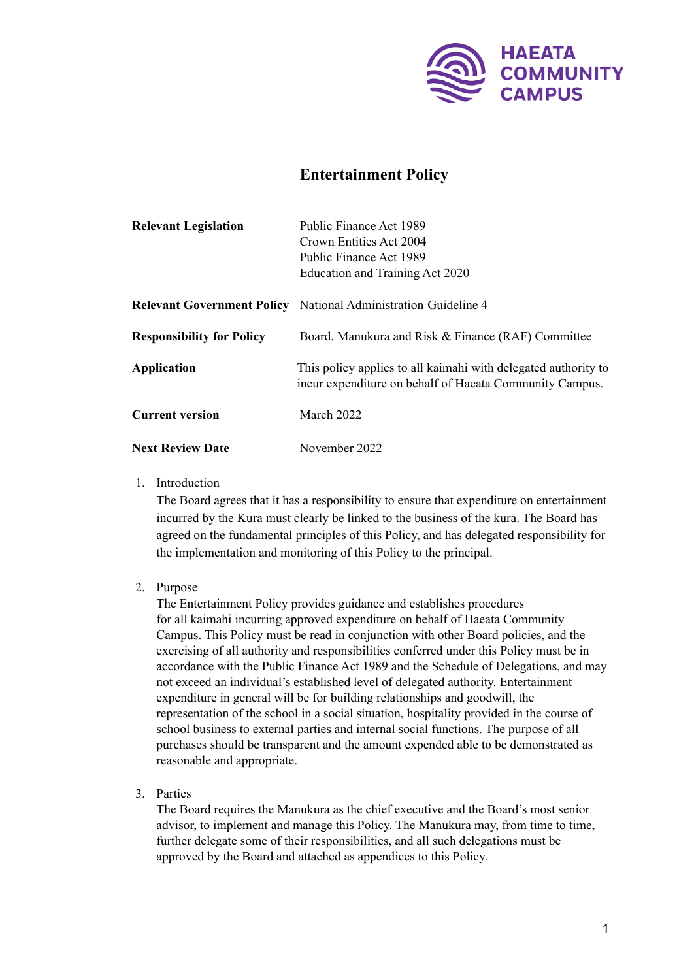

# **Entertainment Policy**

| <b>Relevant Legislation</b>      | Public Finance Act 1989                                                                                                   |
|----------------------------------|---------------------------------------------------------------------------------------------------------------------------|
|                                  | Crown Entities Act 2004                                                                                                   |
|                                  | Public Finance Act 1989                                                                                                   |
|                                  | Education and Training Act 2020                                                                                           |
|                                  | <b>Relevant Government Policy</b> National Administration Guideline 4                                                     |
| <b>Responsibility for Policy</b> | Board, Manukura and Risk & Finance (RAF) Committee                                                                        |
| <b>Application</b>               | This policy applies to all kaimahi with delegated authority to<br>incur expenditure on behalf of Haeata Community Campus. |
| <b>Current version</b>           | March 2022                                                                                                                |
| <b>Next Review Date</b>          | November 2022                                                                                                             |

### 1. Introduction

The Board agrees that it has a responsibility to ensure that expenditure on entertainment incurred by the Kura must clearly be linked to the business of the kura. The Board has agreed on the fundamental principles of this Policy, and has delegated responsibility for the implementation and monitoring of this Policy to the principal.

# 2. Purpose

The Entertainment Policy provides guidance and establishes procedures for all kaimahi incurring approved expenditure on behalf of Haeata Community Campus. This Policy must be read in conjunction with other Board policies, and the exercising of all authority and responsibilities conferred under this Policy must be in accordance with the Public Finance Act 1989 and the Schedule of Delegations, and may not exceed an individual's established level of delegated authority. Entertainment expenditure in general will be for building relationships and goodwill, the representation of the school in a social situation, hospitality provided in the course of school business to external parties and internal social functions. The purpose of all purchases should be transparent and the amount expended able to be demonstrated as reasonable and appropriate.

3. Parties

The Board requires the Manukura as the chief executive and the Board's most senior advisor, to implement and manage this Policy. The Manukura may, from time to time, further delegate some of their responsibilities, and all such delegations must be approved by the Board and attached as appendices to this Policy.